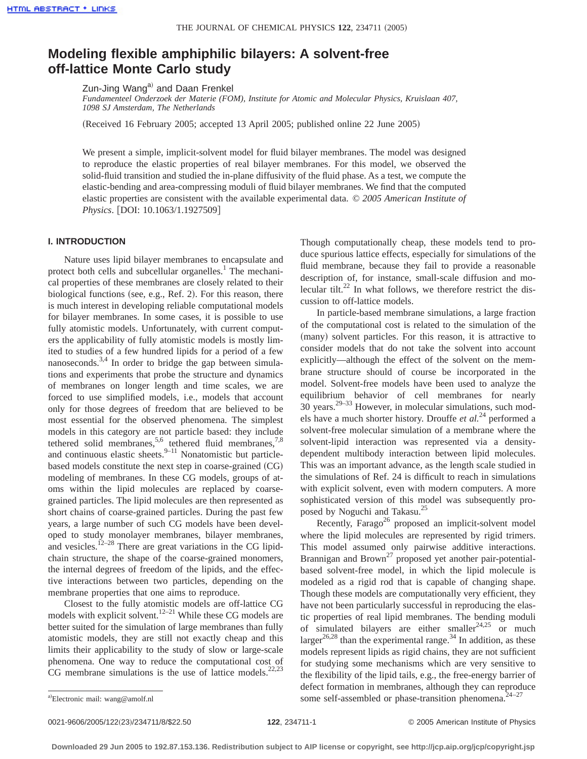# **Modeling flexible amphiphilic bilayers: A solvent-free off-lattice Monte Carlo study**

Zun-Jing Wang<sup>a)</sup> and Daan Frenkel

*Fundamenteel Onderzoek der Materie (FOM), Institute for Atomic and Molecular Physics, Kruislaan 407, 1098 SJ Amsterdam, The Netherlands*

(Received 16 February 2005; accepted 13 April 2005; published online 22 June 2005)

We present a simple, implicit-solvent model for fluid bilayer membranes. The model was designed to reproduce the elastic properties of real bilayer membranes. For this model, we observed the solid-fluid transition and studied the in-plane diffusivity of the fluid phase. As a test, we compute the elastic-bending and area-compressing moduli of fluid bilayer membranes. We find that the computed elastic properties are consistent with the available experimental data. © *2005 American Institute of Physics*. [DOI: 10.1063/1.1927509]

#### **I. INTRODUCTION**

Nature uses lipid bilayer membranes to encapsulate and protect both cells and subcellular organelles.<sup>1</sup> The mechanical properties of these membranes are closely related to their biological functions (see, e.g., Ref. 2). For this reason, there is much interest in developing reliable computational models for bilayer membranes. In some cases, it is possible to use fully atomistic models. Unfortunately, with current computers the applicability of fully atomistic models is mostly limited to studies of a few hundred lipids for a period of a few nanoseconds.<sup>3,4</sup> In order to bridge the gap between simulations and experiments that probe the structure and dynamics of membranes on longer length and time scales, we are forced to use simplified models, i.e., models that account only for those degrees of freedom that are believed to be most essential for the observed phenomena. The simplest models in this category are not particle based: they include tethered solid membranes,<sup>5,6</sup> tethered fluid membranes,<sup>7,8</sup> and continuous elastic sheets. $9-11$  Nonatomistic but particlebased models constitute the next step in coarse-grained (CG) modeling of membranes. In these CG models, groups of atoms within the lipid molecules are replaced by coarsegrained particles. The lipid molecules are then represented as short chains of coarse-grained particles. During the past few years, a large number of such CG models have been developed to study monolayer membranes, bilayer membranes, and vesicles.<sup> $12-28$ </sup> There are great variations in the CG lipidchain structure, the shape of the coarse-grained monomers, the internal degrees of freedom of the lipids, and the effective interactions between two particles, depending on the membrane properties that one aims to reproduce.

Closest to the fully atomistic models are off-lattice CG models with explicit solvent.<sup>12–21</sup> While these CG models are better suited for the simulation of large membranes than fully atomistic models, they are still not exactly cheap and this limits their applicability to the study of slow or large-scale phenomena. One way to reduce the computational cost of CG membrane simulations is the use of lattice models.<sup>22,23</sup> Though computationally cheap, these models tend to produce spurious lattice effects, especially for simulations of the fluid membrane, because they fail to provide a reasonable description of, for instance, small-scale diffusion and molecular tilt.<sup>22</sup> In what follows, we therefore restrict the discussion to off-lattice models.

In particle-based membrane simulations, a large fraction of the computational cost is related to the simulation of the (many) solvent particles. For this reason, it is attractive to consider models that do not take the solvent into account explicitly—although the effect of the solvent on the membrane structure should of course be incorporated in the model. Solvent-free models have been used to analyze the equilibrium behavior of cell membranes for nearly  $30$  years.<sup>29–33</sup> However, in molecular simulations, such models have a much shorter history. Drouffe *et al.*<sup>24</sup> performed a solvent-free molecular simulation of a membrane where the solvent-lipid interaction was represented via a densitydependent multibody interaction between lipid molecules. This was an important advance, as the length scale studied in the simulations of Ref. 24 is difficult to reach in simulations with explicit solvent, even with modern computers. A more sophisticated version of this model was subsequently proposed by Noguchi and Takasu.25

Recently, Farago<sup>26</sup> proposed an implicit-solvent model where the lipid molecules are represented by rigid trimers. This model assumed only pairwise additive interactions. Brannigan and Brown<sup>27</sup> proposed yet another pair-potentialbased solvent-free model, in which the lipid molecule is modeled as a rigid rod that is capable of changing shape. Though these models are computationally very efficient, they have not been particularly successful in reproducing the elastic properties of real lipid membranes. The bending moduli of simulated bilayers are either smaller<sup>24,25</sup> or much larger<sup>26,28</sup> than the experimental range.<sup>34</sup> In addition, as these models represent lipids as rigid chains, they are not sufficient for studying some mechanisms which are very sensitive to the flexibility of the lipid tails, e.g., the free-energy barrier of defect formation in membranes, although they can reproduce a)Electronic mail: wang@amolf.nl some self-assembled or phase-transition phenomena.<sup>24–27</sup>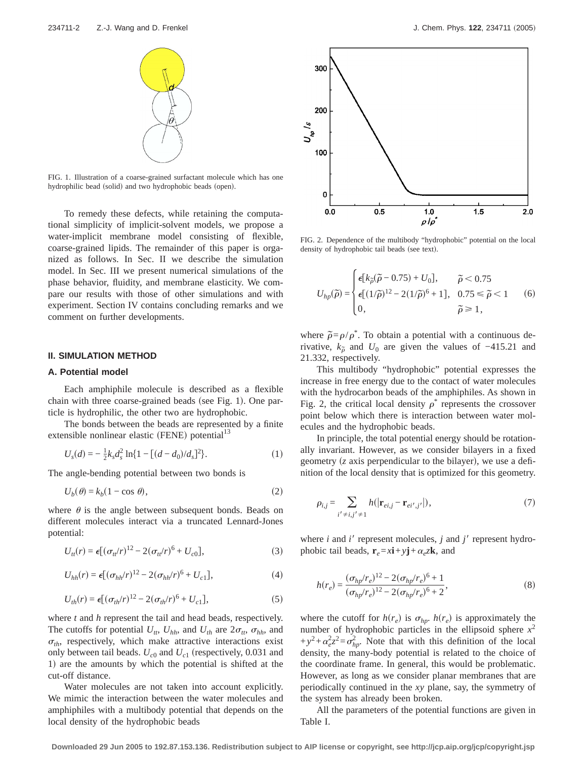

FIG. 1. Illustration of a coarse-grained surfactant molecule which has one hydrophilic bead (solid) and two hydrophobic beads (open).

To remedy these defects, while retaining the computational simplicity of implicit-solvent models, we propose a water-implicit membrane model consisting of flexible, coarse-grained lipids. The remainder of this paper is organized as follows. In Sec. II we describe the simulation model. In Sec. III we present numerical simulations of the phase behavior, fluidity, and membrane elasticity. We compare our results with those of other simulations and with experiment. Section IV contains concluding remarks and we comment on further developments.

#### **II. SIMULATION METHOD**

## **A. Potential model**

Each amphiphile molecule is described as a flexible chain with three coarse-grained beads (see Fig. 1). One particle is hydrophilic, the other two are hydrophobic.

The bonds between the beads are represented by a finite extensible nonlinear elastic (FENE) potential<sup>13</sup>

$$
U_s(d) = -\frac{1}{2}k_s d_s^2 \ln\{1 - \left[ (d - d_0)/d_s \right]^2 \}.
$$
 (1)

The angle-bending potential between two bonds is

$$
U_b(\theta) = k_b(1 - \cos \theta),\tag{2}
$$

where  $\theta$  is the angle between subsequent bonds. Beads on different molecules interact via a truncated Lennard-Jones potential:

$$
U_{tt}(r) = \epsilon [(\sigma_{tt}/r)^{12} - 2(\sigma_{tt}/r)^6 + U_{c0}], \qquad (3)
$$

$$
U_{hh}(r) = \epsilon [(\sigma_{hh}/r)^{12} - 2(\sigma_{hh}/r)^6 + U_{c1}], \qquad (4)
$$

$$
U_{th}(r) = \epsilon [(\sigma_{th}/r)^{12} - 2(\sigma_{th}/r)^{6} + U_{c1}], \qquad (5)
$$

where *t* and *h* represent the tail and head beads, respectively. The cutoffs for potential  $U_{tt}$ ,  $U_{hh}$ , and  $U_{th}$  are  $2\sigma_{tt}$ ,  $\sigma_{hh}$ , and  $\sigma_{th}$ , respectively, which make attractive interactions exist only between tail beads.  $U_{c0}$  and  $U_{c1}$  (respectively, 0.031 and 1) are the amounts by which the potential is shifted at the cut-off distance.

Water molecules are not taken into account explicitly. We mimic the interaction between the water molecules and amphiphiles with a multibody potential that depends on the local density of the hydrophobic beads



FIG. 2. Dependence of the multibody "hydrophobic" potential on the local density of hydrophobic tail beads (see text).

$$
U_{hp}(\tilde{\rho}) = \begin{cases} \epsilon [k_{\tilde{\rho}}(\tilde{\rho} - 0.75) + U_0], & \tilde{\rho} < 0.75 \\ \epsilon [(1/\tilde{\rho})^{12} - 2(1/\tilde{\rho})^6 + 1], & 0.75 \le \tilde{\rho} < 1 \\ 0, & \tilde{\rho} \ge 1, \end{cases}
$$
 (6)

where  $\tilde{\rho} = \rho/\rho^*$ . To obtain a potential with a continuous derivative,  $k_{\tilde{\rho}}$  and  $U_0$  are given the values of -415.21 and 21.332, respectively.

This multibody "hydrophobic" potential expresses the increase in free energy due to the contact of water molecules with the hydrocarbon beads of the amphiphiles. As shown in Fig. 2, the critical local density  $\rho^*$  represents the crossover point below which there is interaction between water molecules and the hydrophobic beads.

In principle, the total potential energy should be rotationally invariant. However, as we consider bilayers in a fixed geometry (*z* axis perpendicular to the bilayer), we use a definition of the local density that is optimized for this geometry.

$$
\rho_{i,j} = \sum_{i' \neq i,j' \neq 1} h(|\mathbf{r}_{ei,j} - \mathbf{r}_{ei',j'}|),
$$
\n(7)

where  $i$  and  $i'$  represent molecules,  $j$  and  $j'$  represent hydrophobic tail beads,  $\mathbf{r}_e = x\mathbf{i} + y\mathbf{j} + \alpha_e z\mathbf{k}$ , and

$$
h(r_e) = \frac{(\sigma_{hp}/r_e)^{12} - 2(\sigma_{hp}/r_e)^6 + 1}{(\sigma_{hp}/r_e)^{12} - 2(\sigma_{hp}/r_e)^6 + 2},
$$
\n(8)

where the cutoff for  $h(r_e)$  is  $\sigma_{hp}$ .  $h(r_e)$  is approximately the number of hydrophobic particles in the ellipsoid sphere  $x^2$  $+y^2+\alpha_e^2z^2=\sigma_{hp}^2$ . Note that with this definition of the local density, the many-body potential is related to the choice of the coordinate frame. In general, this would be problematic. However, as long as we consider planar membranes that are periodically continued in the *xy* plane, say, the symmetry of the system has already been broken.

All the parameters of the potential functions are given in Table I.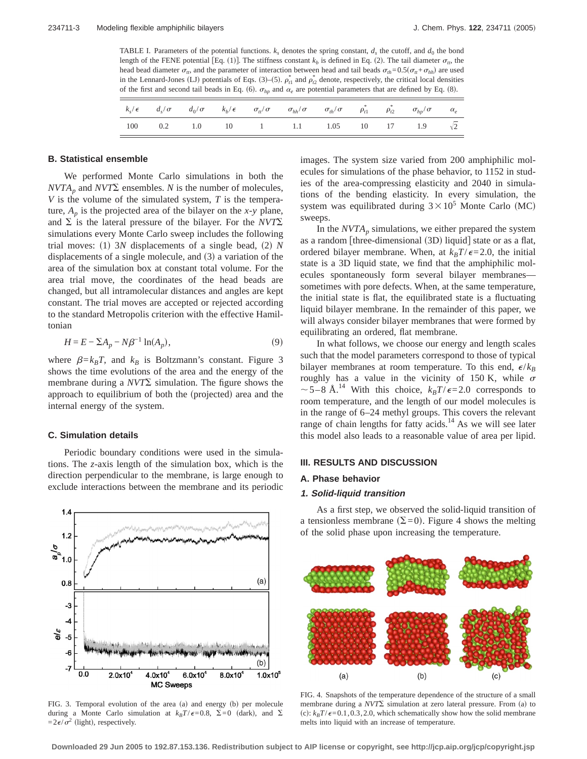TABLE I. Parameters of the potential functions.  $k_s$  denotes the spring constant,  $d_s$  the cutoff, and  $d_0$  the bond length of the FENE potential [Eq. (1)]. The stiffness constant  $k<sub>b</sub>$  is defined in Eq. (2). The tail diameter  $\sigma<sub>n</sub>$ , the head bead diameter  $\sigma_{tt}$ , and the parameter of interaction between head and tail beads  $\sigma_{th} = 0.5(\sigma_{tt} + \sigma_{hh})$  are used in the Lennard-Jones (LJ) potentials of Eqs. (3)–(5).  $\rho_{t1}^*$  and  $\rho_{t2}^*$  denote, respectively, the critical local densities of the first and second tail beads in Eq. (6).  $\sigma_{hp}$  and  $\alpha_e$  are potential parameters that are defined by Eq. (8).

|  |  | $k_s/\epsilon$ $d_s/\sigma$ $d_0/\sigma$ $k_b/\epsilon$ $\sigma_{tt}/\sigma$ $\sigma_{hh}/\sigma$ $\sigma_{th}/\sigma$ $\rho_{t1}^*$ $\rho_{t2}^*$ $\sigma_{hp}/\sigma$ $\alpha_e$ |  |  |  |
|--|--|------------------------------------------------------------------------------------------------------------------------------------------------------------------------------------|--|--|--|
|  |  | 100  0.2  1.0  10  1  1.1  1.05  10  17  1.9 $\sqrt{2}$                                                                                                                            |  |  |  |

## **B. Statistical ensemble**

We performed Monte Carlo simulations in both the  $NVTA_p$  and  $NVT\Sigma$  ensembles. *N* is the number of molecules, *V* is the volume of the simulated system, *T* is the temperature,  $A_p$  is the projected area of the bilayer on the *x*-*y* plane, and  $\Sigma$  is the lateral pressure of the bilayer. For the *NVT* $\Sigma$ simulations every Monte Carlo sweep includes the following trial moves: (1)  $3N$  displacements of a single bead, (2)  $N$ displacements of a single molecule, and  $(3)$  a variation of the area of the simulation box at constant total volume. For the area trial move, the coordinates of the head beads are changed, but all intramolecular distances and angles are kept constant. The trial moves are accepted or rejected according to the standard Metropolis criterion with the effective Hamiltonian

$$
H = E - \Sigma A_p - N\beta^{-1} \ln(A_p),\tag{9}
$$

where  $\beta = k_B T$ , and  $k_B$  is Boltzmann's constant. Figure 3 shows the time evolutions of the area and the energy of the membrane during a  $NVT\Sigma$  simulation. The figure shows the approach to equilibrium of both the (projected) area and the internal energy of the system.

## **C. Simulation details**

Periodic boundary conditions were used in the simulations. The *z*-axis length of the simulation box, which is the direction perpendicular to the membrane, is large enough to exclude interactions between the membrane and its periodic



FIG. 3. Temporal evolution of the area (a) and energy (b) per molecule during a Monte Carlo simulation at  $k_BT/\epsilon=0.8$ ,  $\Sigma=0$  (dark), and  $\Sigma$  $=2\epsilon/\sigma^2$  (light), respectively.

images. The system size varied from 200 amphiphilic molecules for simulations of the phase behavior, to 1152 in studies of the area-compressing elasticity and 2040 in simulations of the bending elasticity. In every simulation, the system was equilibrated during  $3 \times 10^5$  Monte Carlo (MC) sweeps.

In the  $NVTA_p$  simulations, we either prepared the system as a random [three-dimensional  $(3D)$  liquid] state or as a flat, ordered bilayer membrane. When, at  $k_B T / \epsilon = 2.0$ , the initial state is a 3D liquid state, we find that the amphiphilic molecules spontaneously form several bilayer membranes sometimes with pore defects. When, at the same temperature, the initial state is flat, the equilibrated state is a fluctuating liquid bilayer membrane. In the remainder of this paper, we will always consider bilayer membranes that were formed by equilibrating an ordered, flat membrane.

In what follows, we choose our energy and length scales such that the model parameters correspond to those of typical bilayer membranes at room temperature. To this end,  $\epsilon/k_B$ roughly has a value in the vicinity of 150 K, while  $\sigma$  $\sim$  5–8 Å.<sup>14</sup> With this choice,  $k_BT/\epsilon$ =2.0 corresponds to room temperature, and the length of our model molecules is in the range of 6–24 methyl groups. This covers the relevant range of chain lengths for fatty acids. $14$  As we will see later this model also leads to a reasonable value of area per lipid.

#### **III. RESULTS AND DISCUSSION**

#### **A. Phase behavior**

## **1. Solid-liquid transition**

As a first step, we observed the solid-liquid transition of a tensionless membrane  $(\Sigma=0)$ . Figure 4 shows the melting of the solid phase upon increasing the temperature.



FIG. 4. Snapshots of the temperature dependence of the structure of a small membrane during a  $NVT\Sigma$  simulation at zero lateral pressure. From (a) to (c):  $k_B T/\epsilon = 0.1, 0.3, 2.0$ , which schematically show how the solid membrane melts into liquid with an increase of temperature.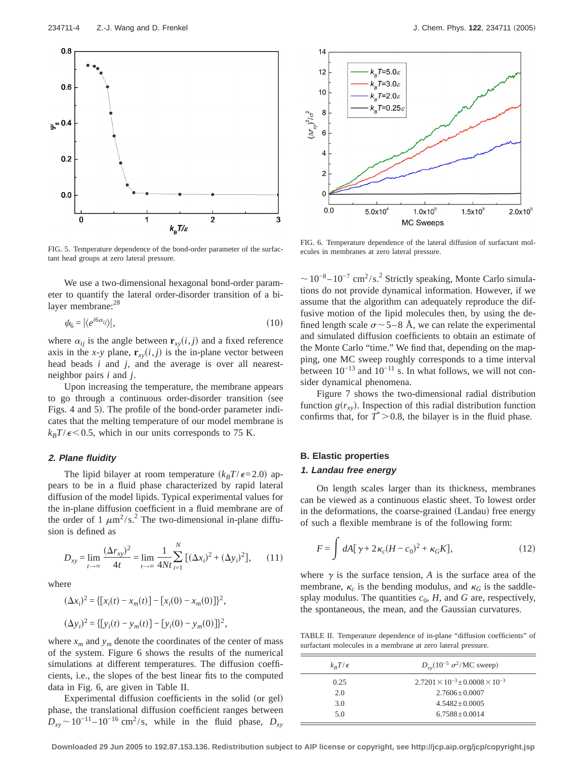

FIG. 5. Temperature dependence of the bond-order parameter of the surfactant head groups at zero lateral pressure.

We use a two-dimensional hexagonal bond-order parameter to quantify the lateral order-disorder transition of a bilayer membrane:<sup>28</sup>

$$
\psi_6 = |\langle e^{i6\alpha_{ij}} \rangle|,\tag{10}
$$

where  $\alpha_{ij}$  is the angle between  $\mathbf{r}_{xy}(i,j)$  and a fixed reference axis in the *x*-*y* plane,  $\mathbf{r}_{xy}(i,j)$  is the in-plane vector between head beads *i* and *j*, and the average is over all nearestneighbor pairs *i* and *j*.

Upon increasing the temperature, the membrane appears to go through a continuous order-disorder transition (see Figs. 4 and 5). The profile of the bond-order parameter indicates that the melting temperature of our model membrane is  $k_B T / \epsilon$  < 0.5, which in our units corresponds to 75 K.

## **2. Plane fluidity**

The lipid bilayer at room temperature  $(k_BT/\epsilon=2.0)$  appears to be in a fluid phase characterized by rapid lateral diffusion of the model lipids. Typical experimental values for the in-plane diffusion coefficient in a fluid membrane are of the order of 1  $\mu$ m<sup>2</sup>/s.<sup>2</sup> The two-dimensional in-plane diffusion is defined as

$$
D_{xy} = \lim_{t \to \infty} \frac{(\Delta r_{xy})^2}{4t} = \lim_{t \to \infty} \frac{1}{4Nt} \sum_{i=1}^{N} [(\Delta x_i)^2 + (\Delta y_i)^2], \qquad (11)
$$

where

$$
(\Delta x_i)^2 = \{ [x_i(t) - x_m(t)] - [x_i(0) - x_m(0)] \}^2,
$$
  

$$
(\Delta y_i)^2 = \{ [y_i(t) - y_m(t)] - [y_i(0) - y_m(0)] \}^2,
$$

where  $x_m$  and  $y_m$  denote the coordinates of the center of mass of the system. Figure 6 shows the results of the numerical simulations at different temperatures. The diffusion coefficients, i.e., the slopes of the best linear fits to the computed data in Fig. 6, are given in Table II.

Experimental diffusion coefficients in the solid (or gel) phase, the translational diffusion coefficient ranges between  $D_{xy} \sim 10^{-11} - 10^{-16}$  cm<sup>2</sup>/s, while in the fluid phase,  $D_{xy}$ 



FIG. 6. Temperature dependence of the lateral diffusion of surfactant molecules in membranes at zero lateral pressure.

 $\sim$ 10<sup>-8</sup> –10<sup>-7</sup> cm<sup>2</sup>/s.<sup>2</sup> Strictly speaking, Monte Carlo simulations do not provide dynamical information. However, if we assume that the algorithm can adequately reproduce the diffusive motion of the lipid molecules then, by using the defined length scale  $\sigma$  ~ 5–8 Å, we can relate the experimental and simulated diffusion coefficients to obtain an estimate of the Monte Carlo "time." We find that, depending on the mapping, one MC sweep roughly corresponds to a time interval between  $10^{-13}$  and  $10^{-11}$  s. In what follows, we will not consider dynamical phenomena.

Figure 7 shows the two-dimensional radial distribution function  $g(r_{xy})$ . Inspection of this radial distribution function confirms that, for  $T^* > 0.8$ , the bilayer is in the fluid phase.

# **B. Elastic properties**

# **1. Landau free energy**

On length scales larger than its thickness, membranes can be viewed as a continuous elastic sheet. To lowest order in the deformations, the coarse-grained (Landau) free energy of such a flexible membrane is of the following form:

$$
F = \int dA[\gamma + 2\kappa_c (H - c_0)^2 + \kappa_G K],
$$
 (12)

where  $\gamma$  is the surface tension, *A* is the surface area of the membrane,  $\kappa_c$  is the bending modulus, and  $\kappa_G$  is the saddlesplay modulus. The quantities  $c_0$ ,  $H$ , and  $G$  are, respectively, the spontaneous, the mean, and the Gaussian curvatures.

TABLE II. Temperature dependence of in-plane "diffusion coefficients" of surfactant molecules in a membrane at zero lateral pressure.

| $k_B T/\epsilon$ | $D_{xy}$ (10 <sup>-5</sup> $\sigma^2$ /MC sweep)  |
|------------------|---------------------------------------------------|
| 0.25             | $2.7201 \times 10^{-3} \pm 0.0008 \times 10^{-3}$ |
| 2.0              | $2.7606 + 0.0007$                                 |
| 3.0              | $4.5482 + 0.0005$                                 |
| 5.0              | $6.7588 + 0.0014$                                 |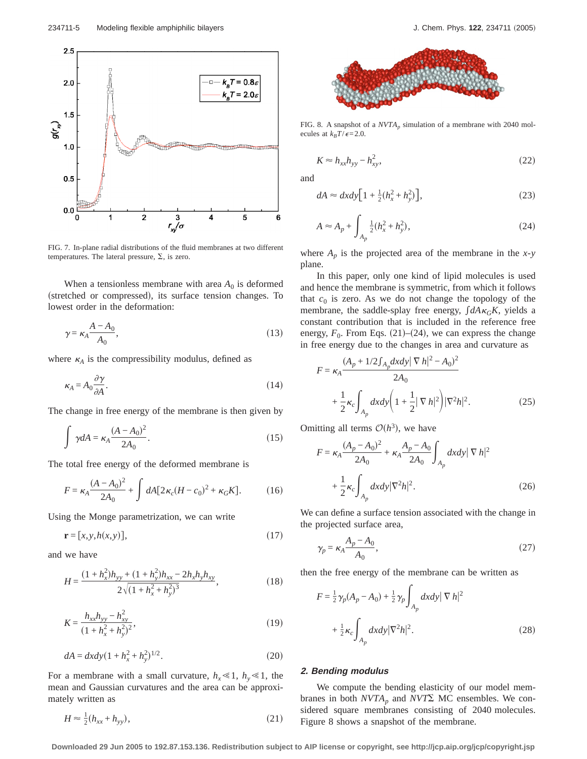

FIG. 7. In-plane radial distributions of the fluid membranes at two different temperatures. The lateral pressure,  $\Sigma$ , is zero.

When a tensionless membrane with area  $A_0$  is deformed (stretched or compressed), its surface tension changes. To lowest order in the deformation:

$$
\gamma = \kappa_A \frac{A - A_0}{A_0},\tag{13}
$$

where  $\kappa_A$  is the compressibility modulus, defined as

$$
\kappa_A = A_0 \frac{\partial \gamma}{\partial A}.\tag{14}
$$

The change in free energy of the membrane is then given by

$$
\int \gamma dA = \kappa_A \frac{(A - A_0)^2}{2A_0}.
$$
 (15)

The total free energy of the deformed membrane is

$$
F = \kappa_A \frac{(A - A_0)^2}{2A_0} + \int dA [2\kappa_c (H - c_0)^2 + \kappa_G K].
$$
 (16)

Using the Monge parametrization, we can write

$$
\mathbf{r} = [x, y, h(x, y)],\tag{17}
$$

and we have

$$
H = \frac{(1 + h_x^2)h_{yy} + (1 + h_y^2)h_{xx} - 2h_xh_yh_{xy}}{2\sqrt{(1 + h_x^2 + h_y^2)^3}},
$$
\n(18)

$$
K = \frac{h_{xx}h_{yy} - h_{xy}^2}{(1 + h_x^2 + h_y^2)^2},
$$
\n(19)

$$
dA = dxdy(1 + h_x^2 + h_y^2)^{1/2}.
$$
 (20)

For a membrane with a small curvature,  $h_x \le 1$ ,  $h_y \le 1$ , the mean and Gaussian curvatures and the area can be approximately written as

$$
H \approx \frac{1}{2}(h_{xx} + h_{yy}),\tag{21}
$$



FIG. 8. A snapshot of a  $NVTA_p$  simulation of a membrane with 2040 molecules at  $k_B T / \epsilon = 2.0$ .

$$
K \approx h_{xx} h_{yy} - h_{xy}^2,\tag{22}
$$

and

$$
dA \approx dx dy \Big[ 1 + \frac{1}{2} (h_x^2 + h_y^2) \Big],
$$
 (23)

$$
A \approx A_p + \int_{A_p} \frac{1}{2} (h_x^2 + h_y^2),
$$
 (24)

where  $A_p$  is the projected area of the membrane in the *x*-*y* plane.

In this paper, only one kind of lipid molecules is used and hence the membrane is symmetric, from which it follows that  $c_0$  is zero. As we do not change the topology of the membrane, the saddle-splay free energy,  $\int dA \kappa_G K$ , yields a constant contribution that is included in the reference free energy,  $F_0$ . From Eqs. (21)–(24), we can express the change in free energy due to the changes in area and curvature as

$$
F = \kappa_A \frac{(A_p + 1/2 \int_{A_p} dx dy | \nabla h|^2 - A_0)^2}{2A_0} + \frac{1}{2} \kappa_c \int_{A_p} dx dy \left( 1 + \frac{1}{2} | \nabla h|^2 \right) |\nabla^2 h|^2.
$$
 (25)

Omitting all terms  $O(h^3)$ , we have

$$
F = \kappa_A \frac{(A_p - A_0)^2}{2A_0} + \kappa_A \frac{A_p - A_0}{2A_0} \int_{A_p} dx dy \, |\nabla h|^2 + \frac{1}{2} \kappa_c \int_{A_p} dx dy \, |\nabla^2 h|^2.
$$
 (26)

We can define a surface tension associated with the change in the projected surface area,

$$
\gamma_p = \kappa_A \frac{A_p - A_0}{A_0},\tag{27}
$$

then the free energy of the membrane can be written as

$$
F = \frac{1}{2} \gamma_p (A_p - A_0) + \frac{1}{2} \gamma_p \int_{A_p} dx dy \, |\nabla h|^2
$$

$$
+ \frac{1}{2} \kappa_c \int_{A_p} dx dy \, |\nabla^2 h|^2. \tag{28}
$$

### **2. Bending modulus**

We compute the bending elasticity of our model membranes in both  $NVTA_p$  and  $NVT\sum$  MC ensembles. We considered square membranes consisting of 2040 molecules. Figure 8 shows a snapshot of the membrane.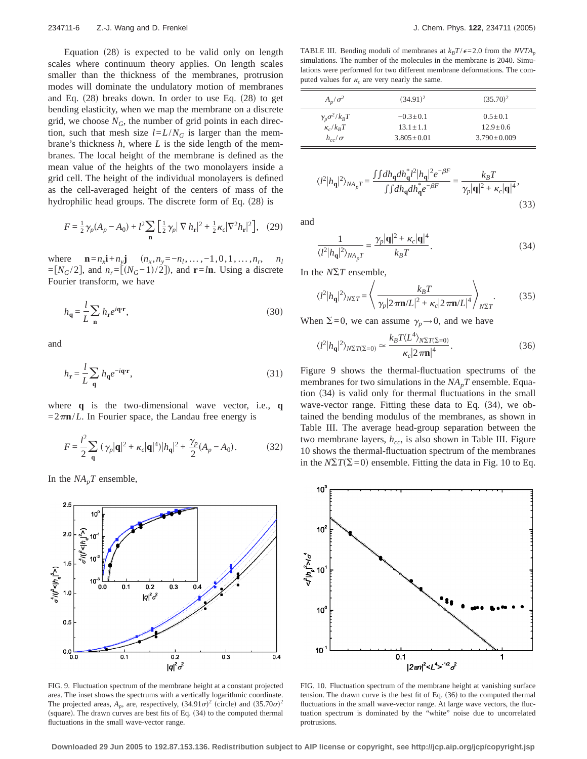Equation  $(28)$  is expected to be valid only on length scales where continuum theory applies. On length scales smaller than the thickness of the membranes, protrusion modes will dominate the undulatory motion of membranes and Eq.  $(28)$  breaks down. In order to use Eq.  $(28)$  to get bending elasticity, when we map the membrane on a discrete grid, we choose  $N_G$ , the number of grid points in each direction, such that mesh size  $l = L/N_G$  is larger than the membrane's thickness *h*, where *L* is the side length of the membranes. The local height of the membrane is defined as the mean value of the heights of the two monolayers inside a grid cell. The height of the individual monolayers is defined as the cell-averaged height of the centers of mass of the hydrophilic head groups. The discrete form of Eq.  $(28)$  is

$$
F = \frac{1}{2}\gamma_p(A_p - A_0) + l^2 \sum_{\mathbf{n}} \left[\frac{1}{2}\gamma_p |\nabla h_{\mathbf{r}}|^2 + \frac{1}{2}\kappa_c |\nabla^2 h_{\mathbf{r}}|^2\right], \quad (29)
$$

where  $\mathbf{n} = n_x \mathbf{i} + n_y \mathbf{j}$   $(n_x, n_y = -n_1, \dots, -1, 0, 1, \dots, n_r, n_l)$  $=[N_G/2]$ , and  $n_r=[(N_G-1)/2]$ , and **r**=*l***n**. Using a discrete Fourier transform, we have

$$
h_{\mathbf{q}} = \frac{l}{L} \sum_{\mathbf{n}} h_{\mathbf{r}} e^{i\mathbf{q} \cdot \mathbf{r}},\tag{30}
$$

and

$$
h_{\mathbf{r}} = \frac{l}{L} \sum_{\mathbf{q}} h_{\mathbf{q}} e^{-i\mathbf{q} \cdot \mathbf{r}},\tag{31}
$$

where **q** is the two-dimensional wave vector, i.e., **q**  $=2\pi n/L$ . In Fourier space, the Landau free energy is

$$
F = \frac{l^2}{2} \sum_{\mathbf{q}} (\gamma_p |\mathbf{q}|^2 + \kappa_c |\mathbf{q}|^4) |h_{\mathbf{q}}|^2 + \frac{\gamma_p}{2} (A_p - A_0).
$$
 (32)

In the  $NA_pT$  ensemble,



FIG. 9. Fluctuation spectrum of the membrane height at a constant projected area. The inset shows the spectrums with a vertically logarithmic coordinate. The projected areas,  $A_p$ , are, respectively,  $(34.91\sigma)^2$  (circle) and  $(35.70\sigma)^2$ (square). The drawn curves are best fits of Eq.  $(34)$  to the computed thermal fluctuations in the small wave-vector range.

TABLE III. Bending moduli of membranes at  $k_B T / \epsilon = 2.0$  from the *NVTA*<sub>p</sub> simulations. The number of the molecules in the membrane is 2040. Simulations were performed for two different membrane deformations. The computed values for  $\kappa_c$  are very nearly the same.

| $A_n/\sigma^2$              | $(34.91)^2$      | $(35.70)^2$       |
|-----------------------------|------------------|-------------------|
| $\gamma_p \sigma^2 / k_B T$ | $-0.3+0.1$       | $0.5 + 0.1$       |
| $\kappa_c/k_BT$             | $13.1 + 1.1$     | $12.9 + 0.6$      |
| $h_{cc}/\sigma$             | $3.805 \pm 0.01$ | $3.790 \pm 0.009$ |

$$
\langle l^2 |h_{\mathbf{q}}|^2 \rangle_{NA_p} = \frac{\int \int dh_{\mathbf{q}} dh_{\mathbf{q}}^* l^2 |h_{\mathbf{q}}|^2 e^{-\beta F}}{\int \int dh_{\mathbf{q}} dh_{\mathbf{q}}^* e^{-\beta F}} = \frac{k_B T}{\gamma_p |\mathbf{q}|^2 + \kappa_c |\mathbf{q}|^4},\tag{33}
$$

and

$$
\frac{1}{\langle l^2 |h_\mathbf{q}|^2 \rangle_{NA_p T}} = \frac{\gamma_p |\mathbf{q}|^2 + \kappa_c |\mathbf{q}|^4}{k_B T}.
$$
 (34)

In the  $N\Sigma T$  ensemble,

$$
\langle l^2 |h_{\mathbf{q}}|^2 \rangle_{N\Sigma T} = \left\langle \frac{k_B T}{\gamma_p |2\pi \mathbf{n}/L|^2 + \kappa_c |2\pi \mathbf{n}/L|^4} \right\rangle_{N\Sigma T}.\tag{35}
$$

When  $\Sigma=0$ , we can assume  $\gamma_p \rightarrow 0$ , and we have

$$
\langle l^2 | h_{\mathbf{q}} |^2 \rangle_{N\Sigma T(\Sigma=0)} \simeq \frac{k_B T \langle L^4 \rangle_{N\Sigma T(\Sigma=0)}}{\kappa_c |2\,\pi \mathbf{n}|^4}.\tag{36}
$$

Figure 9 shows the thermal-fluctuation spectrums of the membranes for two simulations in the  $NA_pT$  ensemble. Equation  $(34)$  is valid only for thermal fluctuations in the small wave-vector range. Fitting these data to Eq.  $(34)$ , we obtained the bending modulus of the membranes, as shown in Table III. The average head-group separation between the two membrane layers,  $h_{cc}$ , is also shown in Table III. Figure 10 shows the thermal-fluctuation spectrum of the membranes in the  $N\Sigma T(\Sigma=0)$  ensemble. Fitting the data in Fig. 10 to Eq.



FIG. 10. Fluctuation spectrum of the membrane height at vanishing surface tension. The drawn curve is the best fit of Eq.  $(36)$  to the computed thermal fluctuations in the small wave-vector range. At large wave vectors, the fluctuation spectrum is dominated by the "white" noise due to uncorrelated protrusions.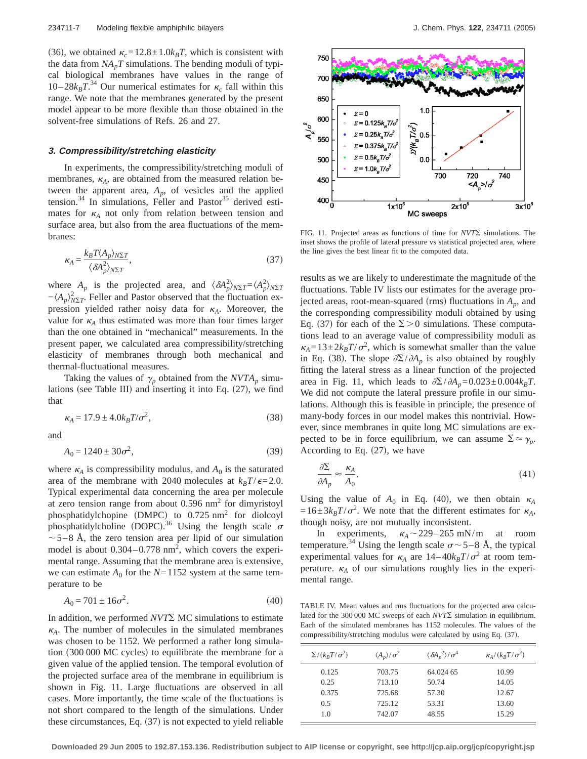(36), we obtained  $\kappa_c = 12.8 \pm 1.0 k_B T$ , which is consistent with the data from  $NA_pT$  simulations. The bending moduli of typical biological membranes have values in the range of 10–28 $k_B T^{34}$  Our numerical estimates for  $\kappa_c$  fall within this range. We note that the membranes generated by the present model appear to be more flexible than those obtained in the solvent-free simulations of Refs. 26 and 27.

#### **3. Compressibility/stretching elasticity**

In experiments, the compressibility/stretching moduli of membranes,  $\kappa_A$ , are obtained from the measured relation between the apparent area,  $A_p$ , of vesicles and the applied tension.<sup>34</sup> In simulations, Feller and Pastor<sup>35</sup> derived estimates for  $\kappa_A$  not only from relation between tension and surface area, but also from the area fluctuations of the membranes:

$$
\kappa_A = \frac{k_B T \langle A_p \rangle_{N\Sigma T}}{\langle \delta A_p^2 \rangle_{N\Sigma T}},\tag{37}
$$

where  $A_p$  is the projected area, and  $\langle \delta A_p^2 \rangle_{N\Sigma T} = \langle A_p^2 \rangle_{N\Sigma T}$  $-\langle A_p \rangle_{N\Sigma T}^2$ . Feller and Pastor observed that the fluctuation expression yielded rather noisy data for  $\kappa_A$ . Moreover, the value for  $\kappa_A$  thus estimated was more than four times larger than the one obtained in "mechanical" measurements. In the present paper, we calculated area compressibility/stretching elasticity of membranes through both mechanical and thermal-fluctuational measures.

Taking the values of  $\gamma_p$  obtained from the *NVTA<sub>p</sub>* simulations (see Table III) and inserting it into Eq.  $(27)$ , we find that

$$
\kappa_A = 17.9 \pm 4.0 k_B T / \sigma^2,\tag{38}
$$

and

$$
A_0 = 1240 \pm 30\sigma^2,\tag{39}
$$

where  $\kappa_A$  is compressibility modulus, and  $A_0$  is the saturated area of the membrane with 2040 molecules at  $k_B T / \epsilon = 2.0$ . Typical experimental data concerning the area per molecule at zero tension range from about  $0.596$  nm<sup>2</sup> for dimyristoyl phosphatidylchopine (DMPC) to  $0.725$  nm<sup>2</sup> for diolcoyl phosphatidylcholine (DOPC).<sup>36</sup> Using the length scale  $\sigma$  $\sim$  5–8 Å, the zero tension area per lipid of our simulation model is about  $0.304 - 0.778$  nm<sup>2</sup>, which covers the experimental range. Assuming that the membrane area is extensive, we can estimate  $A_0$  for the  $N=1152$  system at the same temperature to be

$$
A_0 = 701 \pm 16\sigma^2. \tag{40}
$$

In addition, we performed *NVT*S MC simulations to estimate  $k_A$ . The number of molecules in the simulated membranes was chosen to be 1152. We performed a rather long simulation  $(300 000 \text{ MC}$  cycles) to equilibrate the membrane for a given value of the applied tension. The temporal evolution of the projected surface area of the membrane in equilibrium is shown in Fig. 11. Large fluctuations are observed in all cases. More importantly, the time scale of the fluctuations is not short compared to the length of the simulations. Under these circumstances, Eq.  $(37)$  is not expected to yield reliable



FIG. 11. Projected areas as functions of time for  $NVT\Sigma$  simulations. The inset shows the profile of lateral pressure vs statistical projected area, where the line gives the best linear fit to the computed data.

results as we are likely to underestimate the magnitude of the fluctuations. Table IV lists our estimates for the average projected areas, root-mean-squared (rms) fluctuations in  $A_p$ , and the corresponding compressibility moduli obtained by using Eq. (37) for each of the  $\Sigma > 0$  simulations. These computations lead to an average value of compressibility moduli as  $\kappa_A = 13 \pm 2k_B T / \sigma^2$ , which is somewhat smaller than the value in Eq. (38). The slope  $\partial \Sigma / \partial A_p$  is also obtained by roughly fitting the lateral stress as a linear function of the projected area in Fig. 11, which leads to  $\partial \Sigma / \partial A_p = 0.023 \pm 0.004 k_B T$ . We did not compute the lateral pressure profile in our simulations. Although this is feasible in principle, the presence of many-body forces in our model makes this nontrivial. However, since membranes in quite long MC simulations are expected to be in force equilibrium, we can assume  $\Sigma \approx \gamma_p$ . According to Eq.  $(27)$ , we have

$$
\frac{\partial \Sigma}{\partial A_p} \approx \frac{\kappa_A}{A_0}.\tag{41}
$$

Using the value of  $A_0$  in Eq. (40), we then obtain  $\kappa_A$  $=16\pm3k_BT/\sigma^2$ . We note that the different estimates for  $\kappa_A$ , though noisy, are not mutually inconsistent.

In experiments,  $\kappa_A \sim 229-265$  mN/m at room temperature.<sup>34</sup> Using the length scale  $\sigma$  ~ 5–8 Å, the typical experimental values for  $\kappa_A$  are  $14-40k_BT/\sigma^2$  at room temperature.  $\kappa_A$  of our simulations roughly lies in the experimental range.

TABLE IV. Mean values and rms fluctuations for the projected area calculated for the 300 000 MC sweeps of each  $NVT\Sigma$  simulation in equilibrium. Each of the simulated membranes has 1152 molecules. The values of the compressibility/stretching modulus were calculated by using Eq. (37).

| $\sum/(k_B T/\sigma^2)$ | $\langle A_p \rangle / \sigma^2$ | $\langle \delta A_p^2 \rangle / \sigma^4$ | $\kappa_{A}/(k_{B}T/\sigma^{2})$ |
|-------------------------|----------------------------------|-------------------------------------------|----------------------------------|
| 0.125                   | 703.75                           | 64.024 65                                 | 10.99                            |
| 0.25                    | 713.10                           | 50.74                                     | 14.05                            |
| 0.375                   | 725.68                           | 57.30                                     | 12.67                            |
| 0.5                     | 725.12                           | 53.31                                     | 13.60                            |
| 1.0                     | 742.07                           | 48.55                                     | 15.29                            |